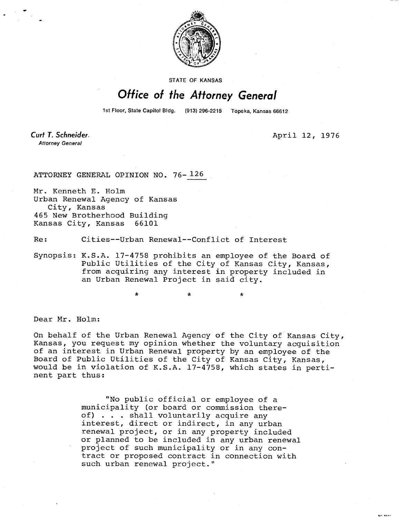

STATE OF KANSAS

## Office of the Attorney General

1st Floor, State Capitol Bldg. (913) 296-2215 Topeka, Kansas 66612

Curt T. Schneider. **Attorney General** 

April 12, 1976

ut 1040

ATTORNEY GENERAL OPINION NO. 76-126

Mr. Kenneth E. Holm Urban Renewal Agency of Kansas City, Kansas 465 New Brotherhood Building Kansas City, Kansas 66101

Re: Cities--Urban Renewal--Conflict of Interest

Synopsis: K.S.A. 17-4758 prohibits an employee of the Board of Public Utilities of the City of Kansas City, Kansas, from acquiring any interest in property included in an Urban Renewal Project in said city.

Dear Mr. Holm:

On behalf of the Urban Renewal Agency of the City of Kansas City, Kansas, you request my opinion whether the voluntary acquisition of an interest in Urban Renewal property by an employee of the Board of Public Utilities of the City of Kansas City, Kansas, would be in violation of K.S.A. 17-4758, which states in pertinent part thus:

> "No public official or employee of a municipality (or board or commission thereof) . . . shall voluntarily acquire any interest, direct or indirect, in any urban renewal project, or in any property included or planned to be included in any urban renewal project of such municipality or in any contract or proposed contract in connection with such urban renewal project."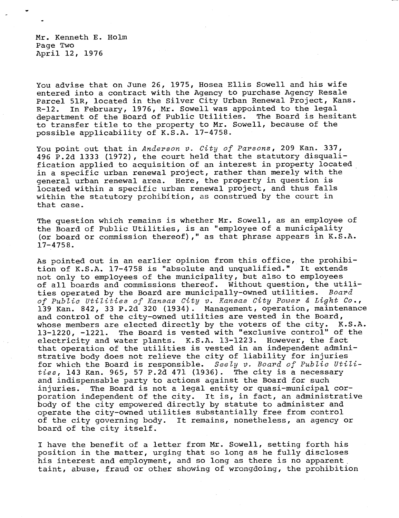Mr. Kenneth E. Holm Page Two April 12, 1976

You advise that on June 26, 1975, Hosea Ellis Sowell and his wife entered into a contract with the Agency to purchase Agency Resale Parcel 51R, located in the Silver City Urban Renewal Project, Kans. R-12. In February, 1976, Mr. Sowell was appointed to the legal department of the Board of Public Utilities. The Board is hesitant to transfer title to the property to Mr. Sowell, because of the possible applicability of K.S.A. 17-4758.

You point out that in Anderson v. City of Parsons, 209 Kan. 337, 496 P.2d 1333 (1972), the court held that the statutory disqualification applied to acquisition of an interest in property located in a specific urban renewal project, rather than merely with the general urban renewal area. Here, the property in question is located within a specific urban renewal project, and thus falls within the statutory prohibition, as construed by the court in that case.

The question which remains is whether Mr. Sowell, as an employee of the Board of Public Utilities, is an "employee of a municipality (or board or commission thereof)," as that phrase appears in K.S.A. 17-4758.

As pointed out in an earlier opinion from this office, the prohibition of K.S.A. 17-4758 is "absolute and unqualified." It extends not only to employees of the municipality, but also to employees of all boards and commissions thereof. Without question, the utilities operated by the Board are municipally-owned utilities. Board of Public Utilities of Kansas City v. Kansas City Power & Light Co., 139 Kan. 842, 33 P.2d 320 (1934). Management, operation, maintenance and control of the city-owned utilities are vested in the Board, whose members are elected directly by the voters of the city. K.S.A. 13-1220, -1221. The Board is vested with "exclusive control" of the electricity and water plants. K.S.A. 13-1223. However, the fact that operation of the utilities is vested in an independent administrative body does not relieve the city of liability for injuries for which the Board is responsible. Seely v. Board of Public Utilities, 143 Kan. 965, 57 P.2d 471 (1936). The city is a necessary and indispensable party to actions against the Board for such injuries. The Board is not a legal entity or quasi-municipal corporation independent of the city. It is, in fact, an administrative body of the city empowered directly by statute to administer and operate the city-owned utilities substantially free from control of the city governing body. It remains, nonetheless, an agency or board of the city itself.

I have the benefit of a letter from Mr. Sowell, setting forth his position in the matter, urging that so long as he fully discloses his interest and employment, and so long as there is no apparent. taint, abuse, fraud or other showing of wrongdoing, the prohibition